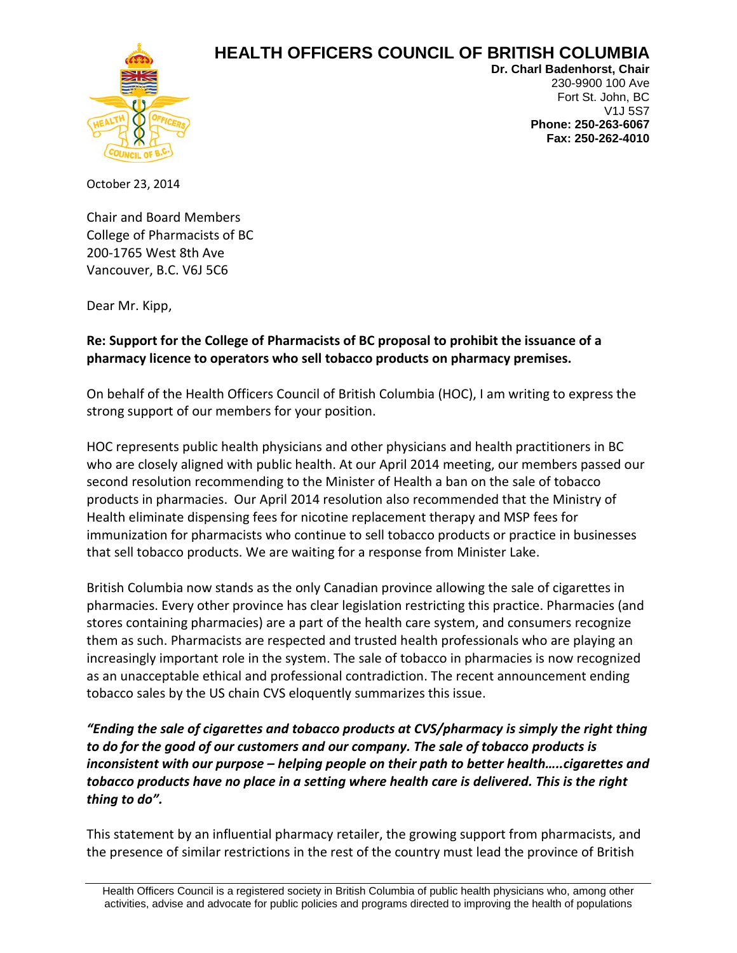## **HEALTH OFFICERS COUNCIL OF BRITISH COLUMBIA**



**Dr. Charl Badenhorst, Chair** 230-9900 100 Ave Fort St. John, BC V1J 5S7 **Phone: 250-263-6067 Fax: 250-262-4010**

October 23, 2014

Chair and Board Members College of Pharmacists of BC 200-1765 West 8th Ave Vancouver, B.C. V6J 5C6

Dear Mr. Kipp,

## **Re: Support for the College of Pharmacists of BC proposal to prohibit the issuance of a pharmacy licence to operators who sell tobacco products on pharmacy premises.**

On behalf of the Health Officers Council of British Columbia (HOC), I am writing to express the strong support of our members for your position.

HOC represents public health physicians and other physicians and health practitioners in BC who are closely aligned with public health. At our April 2014 meeting, our members passed our second resolution recommending to the Minister of Health a ban on the sale of tobacco products in pharmacies. Our April 2014 resolution also recommended that the Ministry of Health eliminate dispensing fees for nicotine replacement therapy and MSP fees for immunization for pharmacists who continue to sell tobacco products or practice in businesses that sell tobacco products. We are waiting for a response from Minister Lake.

British Columbia now stands as the only Canadian province allowing the sale of cigarettes in pharmacies. Every other province has clear legislation restricting this practice. Pharmacies (and stores containing pharmacies) are a part of the health care system, and consumers recognize them as such. Pharmacists are respected and trusted health professionals who are playing an increasingly important role in the system. The sale of tobacco in pharmacies is now recognized as an unacceptable ethical and professional contradiction. The recent announcement ending tobacco sales by the US chain CVS eloquently summarizes this issue.

*"Ending the sale of cigarettes and tobacco products at CVS/pharmacy is simply the right thing to do for the good of our customers and our company. The sale of tobacco products is inconsistent with our purpose – helping people on their path to better health…..cigarettes and tobacco products have no place in a setting where health care is delivered. This is the right thing to do".*

This statement by an influential pharmacy retailer, the growing support from pharmacists, and the presence of similar restrictions in the rest of the country must lead the province of British